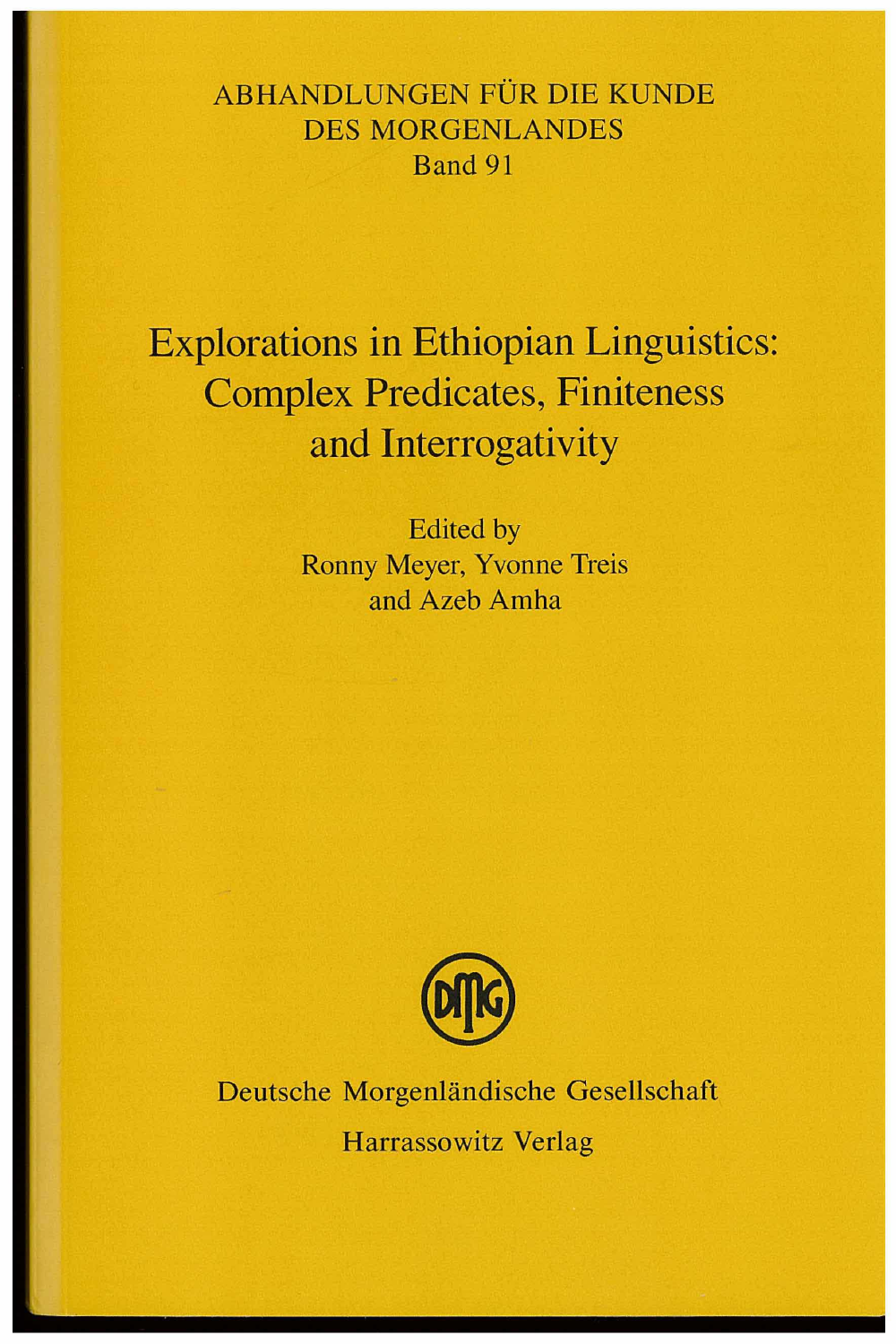#### ABHANDLUNGEN FÜR DIE KUNDE DES MORGENLANDES Band 91

### **Explorations in Ethiopian Linguistics: Complex Predicates, Finiteness and Interrogativity**

Edited by Ronny Meyer, Yvonne Treis and Azeb Arnha



Deutsche Morgenländische Gesellschaft Harrassowitz Verlag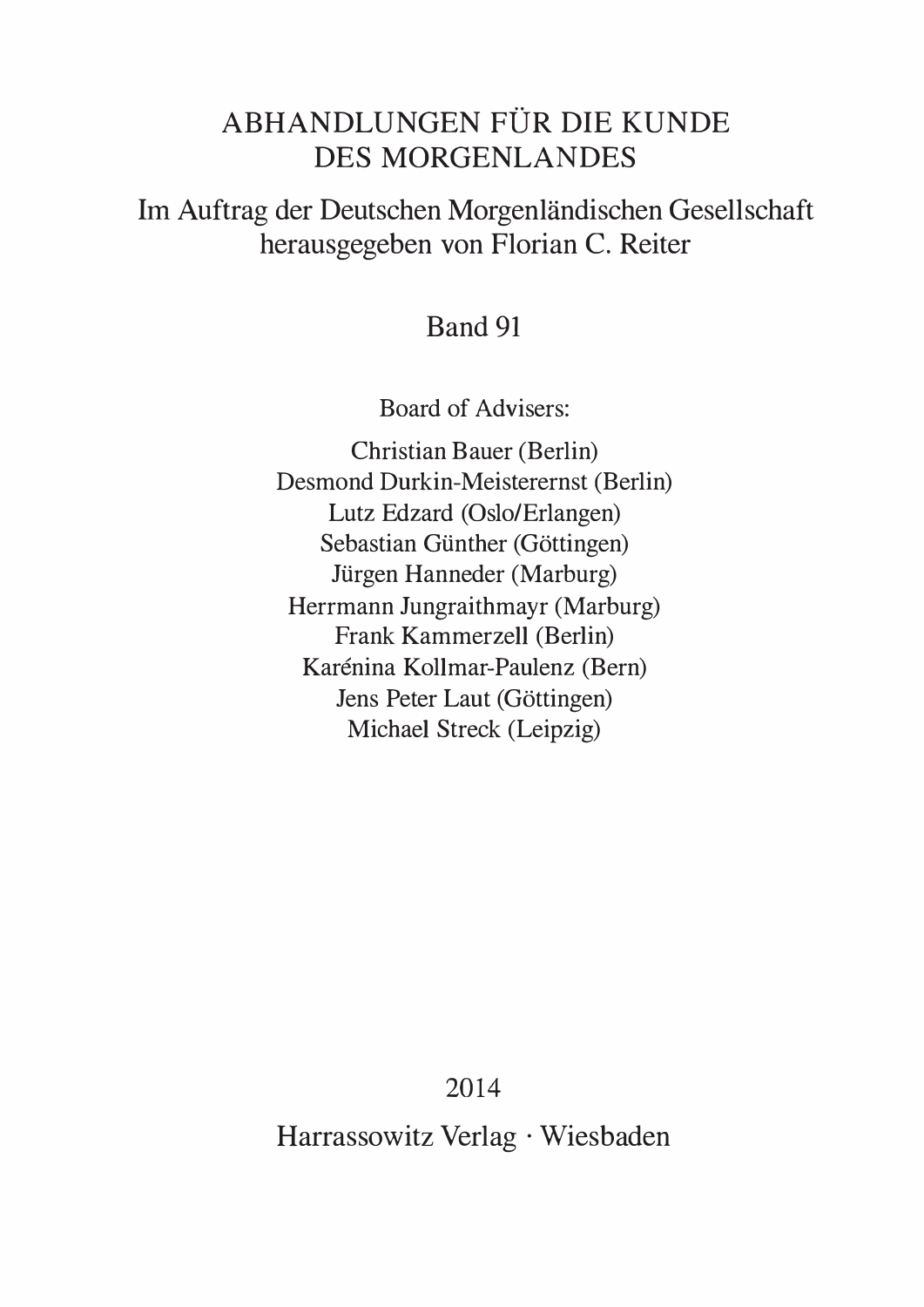#### ABHANDLUNGEN FÜR DIE KUNDE DES MORGENLANDES

Im Auftrag der Deutschen Morgenlandischen Gesellschaft herausgegeben von Florian C. Reiter

#### Band 91

Board of Advisers:

Christian Bauer (Berlin) Desmond Durkin-Meisterernst (Berlin) Lutz Edzard (Oslo/Erlangen) Sebastian Günther (Göttingen) Jürgen Hanneder (Marburg) Herrmann Jungraithmayr (Marburg) Frank Kammerzell (Berlin) Karénina Kollmar-Paulenz (Bern) Jens Peter Laut (Göttingen) Michael Streck (Leipzig)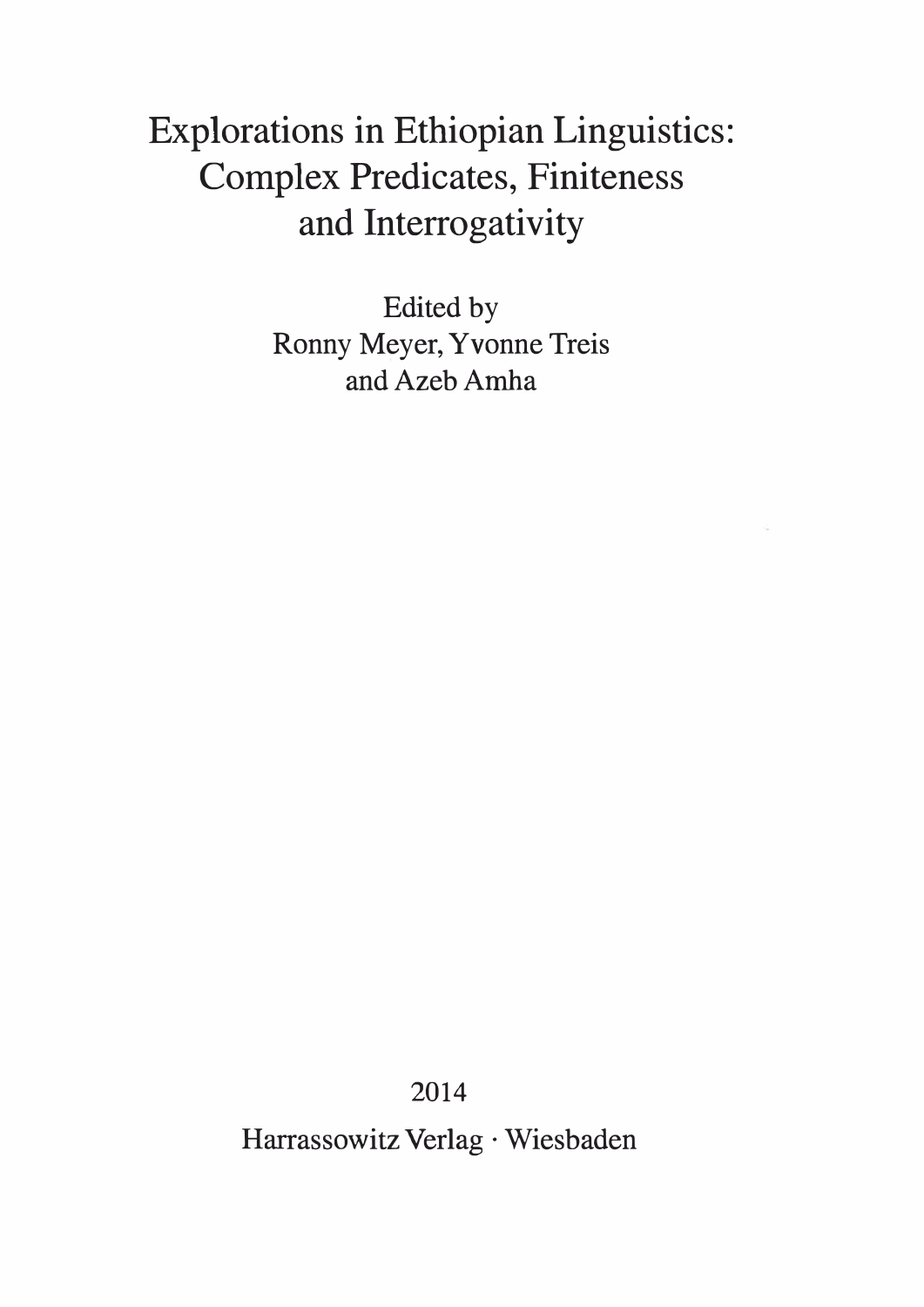# Explorations in Ethiopian Linguistics: Complex Predicates, Finiteness and Interrogativity

Edited by Ronny Meyer, Yvonne Treis and Azeb Amha

2014

Harrassowitz Verlag · Wiesbaden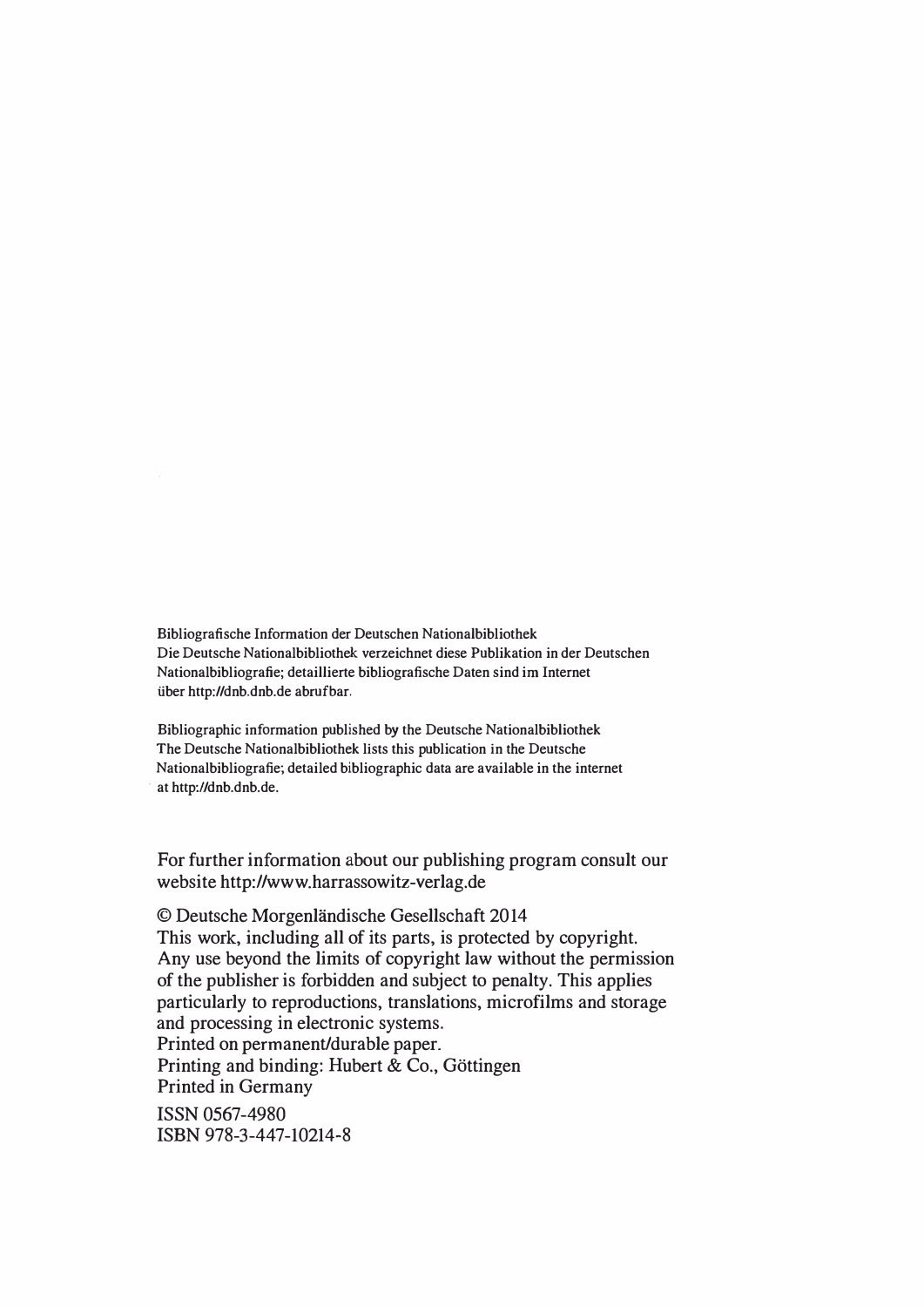Bibliografische Information der Deutschen Nationalbibliothek Die Deutsche Nationalbibliothek verzeichnet diese Publikation in der Deutschen Nationalbibliografie; detaillierte bibliografische Daten sind im Internet tiber http://dnb.dnb.de abrufbar.

Bibliographic information published by the Deutsche Nationalbibliothek The Deutsche Nationalbibliothek lists this publication in the Deutsche Nationalbibliografie; detailed bibliographic data are available in the internet at http://dnb.dnb.de.

For further information about our publishing program consult our website http://www.harrassowitz-verlag.de

© Deutsche Morgenlandische Gesellschaft 2014 This work, including all of its parts, is protected by copyright. Any use beyond the limits of copyright law without the permission of the publisher is forbidden and subject to penalty. This applies particularly to reproductions, translations, microfilms and storage and processing in electronic systems. Printed on permanent/durable paper.

Printing and binding: Hubert & Co., Göttingen Printed in Germany

ISSN 0567-4980 ISBN 978-3-447-10214-8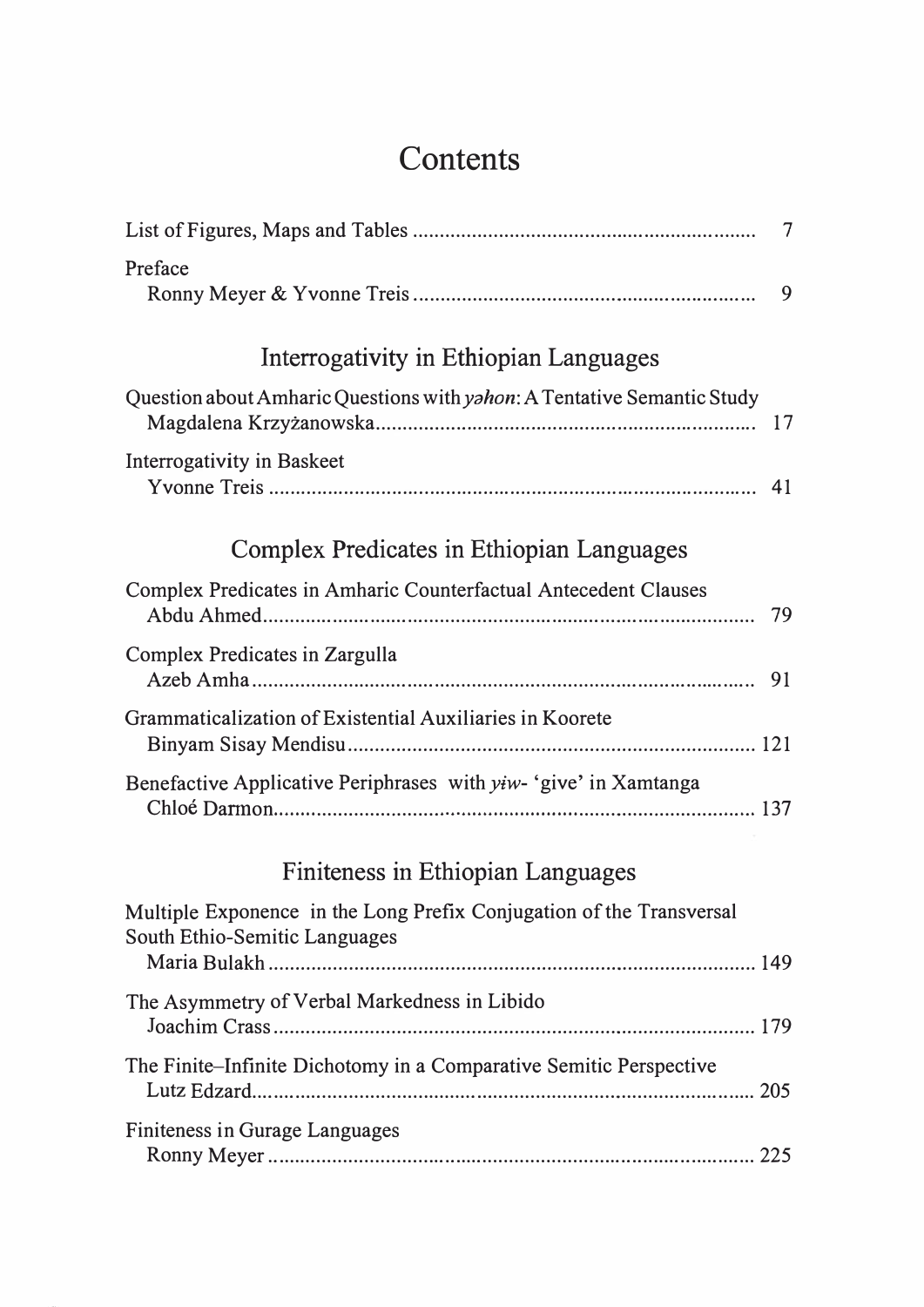## Contents

|                                                                                                       | $\overline{7}$ |
|-------------------------------------------------------------------------------------------------------|----------------|
| Preface                                                                                               | 9              |
| Interrogativity in Ethiopian Languages                                                                |                |
| Question about Amharic Questions with <i>yahon</i> : A Tentative Semantic Study                       | 17             |
| Interrogativity in Baskeet                                                                            |                |
| Complex Predicates in Ethiopian Languages                                                             |                |
| Complex Predicates in Amharic Counterfactual Antecedent Clauses                                       | 79             |
| Complex Predicates in Zargulla                                                                        |                |
| Grammaticalization of Existential Auxiliaries in Koorete                                              |                |
| Benefactive Applicative Periphrases with <i>yiw</i> - 'give' in Xamtanga                              |                |
| Finiteness in Ethiopian Languages                                                                     |                |
| Multiple Exponence in the Long Prefix Conjugation of the Transversal<br>South Ethio-Semitic Languages |                |
| The Asymmetry of Verbal Markedness in Libido                                                          |                |
| The Finite–Infinite Dichotomy in a Comparative Semitic Perspective                                    |                |
| Finiteness in Gurage Languages                                                                        |                |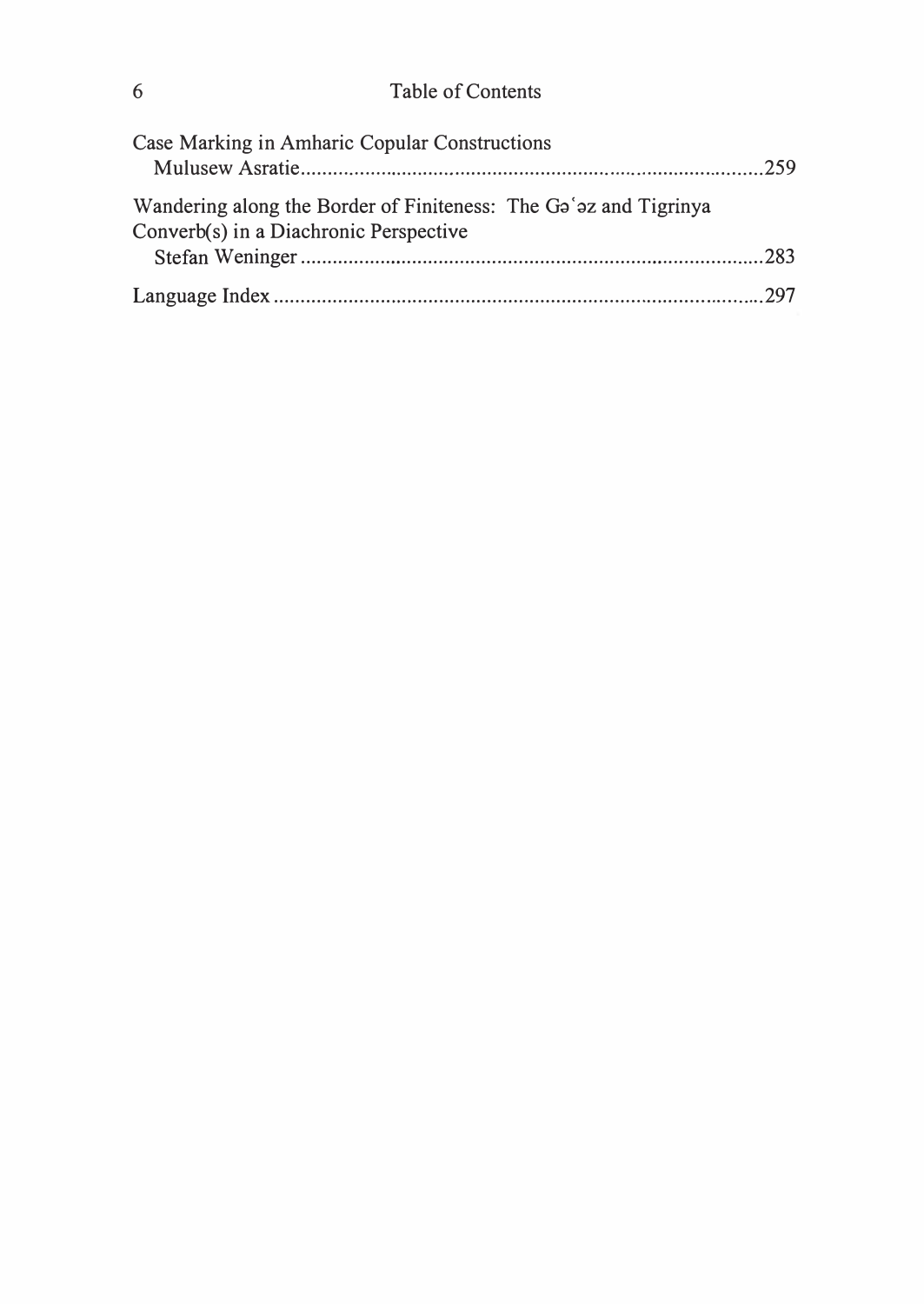| Case Marking in Amharic Copular Constructions                                                              |  |
|------------------------------------------------------------------------------------------------------------|--|
|                                                                                                            |  |
| Wandering along the Border of Finiteness: The Ga'az and Tigrinya<br>Converb(s) in a Diachronic Perspective |  |
|                                                                                                            |  |
|                                                                                                            |  |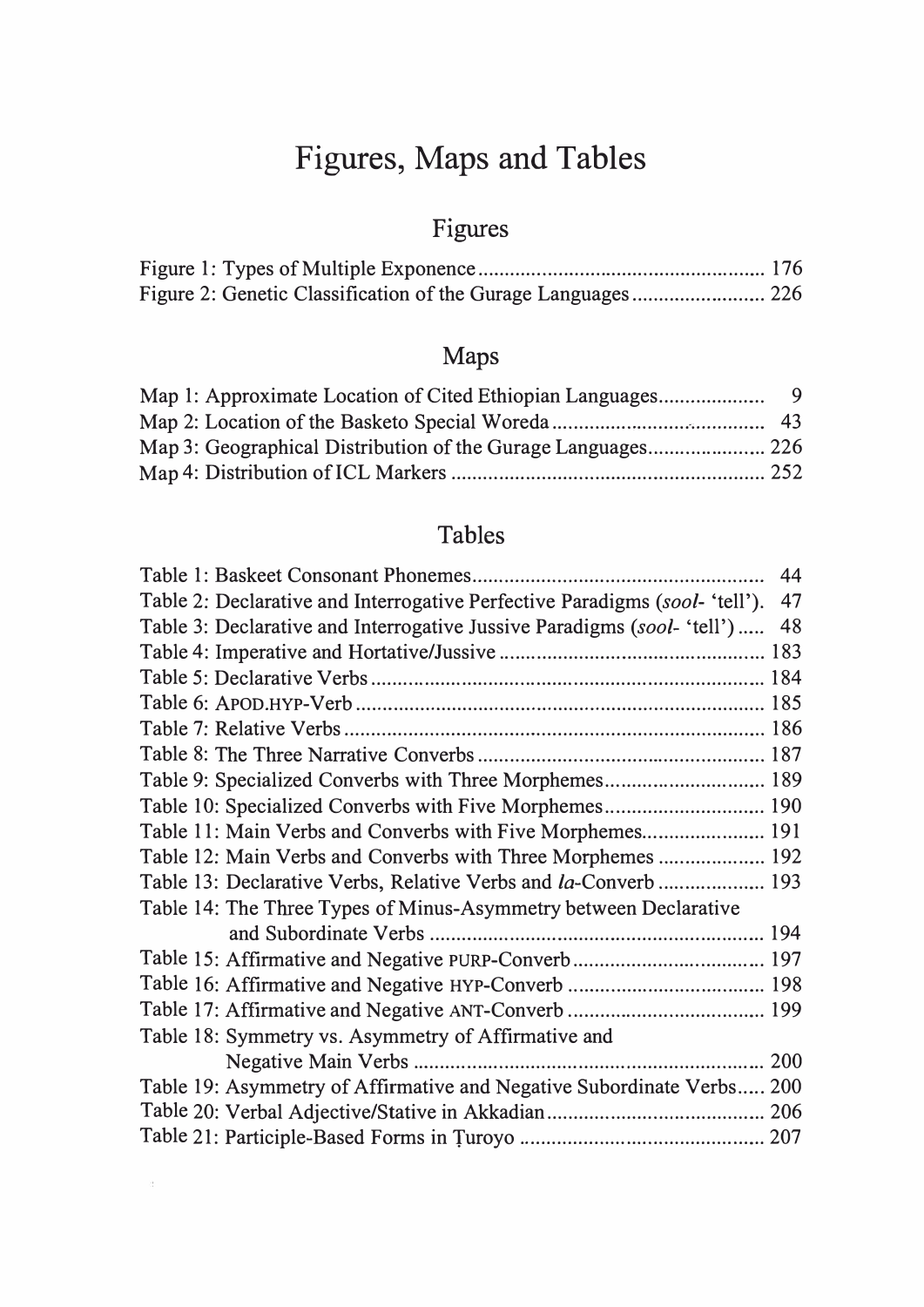# Figures, Maps and Tables

## Figures

### Maps

### Tables

|                                                                             | 44 |
|-----------------------------------------------------------------------------|----|
| Table 2: Declarative and Interrogative Perfective Paradigms (sool- 'tell'). | 47 |
| Table 3: Declarative and Interrogative Jussive Paradigms (sool- 'tell')     | 48 |
|                                                                             |    |
|                                                                             |    |
|                                                                             |    |
|                                                                             |    |
|                                                                             |    |
| Table 9: Specialized Converbs with Three Morphemes 189                      |    |
| Table 10: Specialized Converbs with Five Morphemes 190                      |    |
| Table 11: Main Verbs and Converbs with Five Morphemes 191                   |    |
| Table 12: Main Verbs and Converbs with Three Morphemes  192                 |    |
| Table 13: Declarative Verbs, Relative Verbs and la-Converb 193              |    |
| Table 14: The Three Types of Minus-Asymmetry between Declarative            |    |
|                                                                             |    |
| Table 15: Affirmative and Negative PURP-Converb 197                         |    |
|                                                                             |    |
|                                                                             |    |
| Table 18: Symmetry vs. Asymmetry of Affirmative and                         |    |
|                                                                             |    |
| Table 19: Asymmetry of Affirmative and Negative Subordinate Verbs 200       |    |
|                                                                             |    |
|                                                                             |    |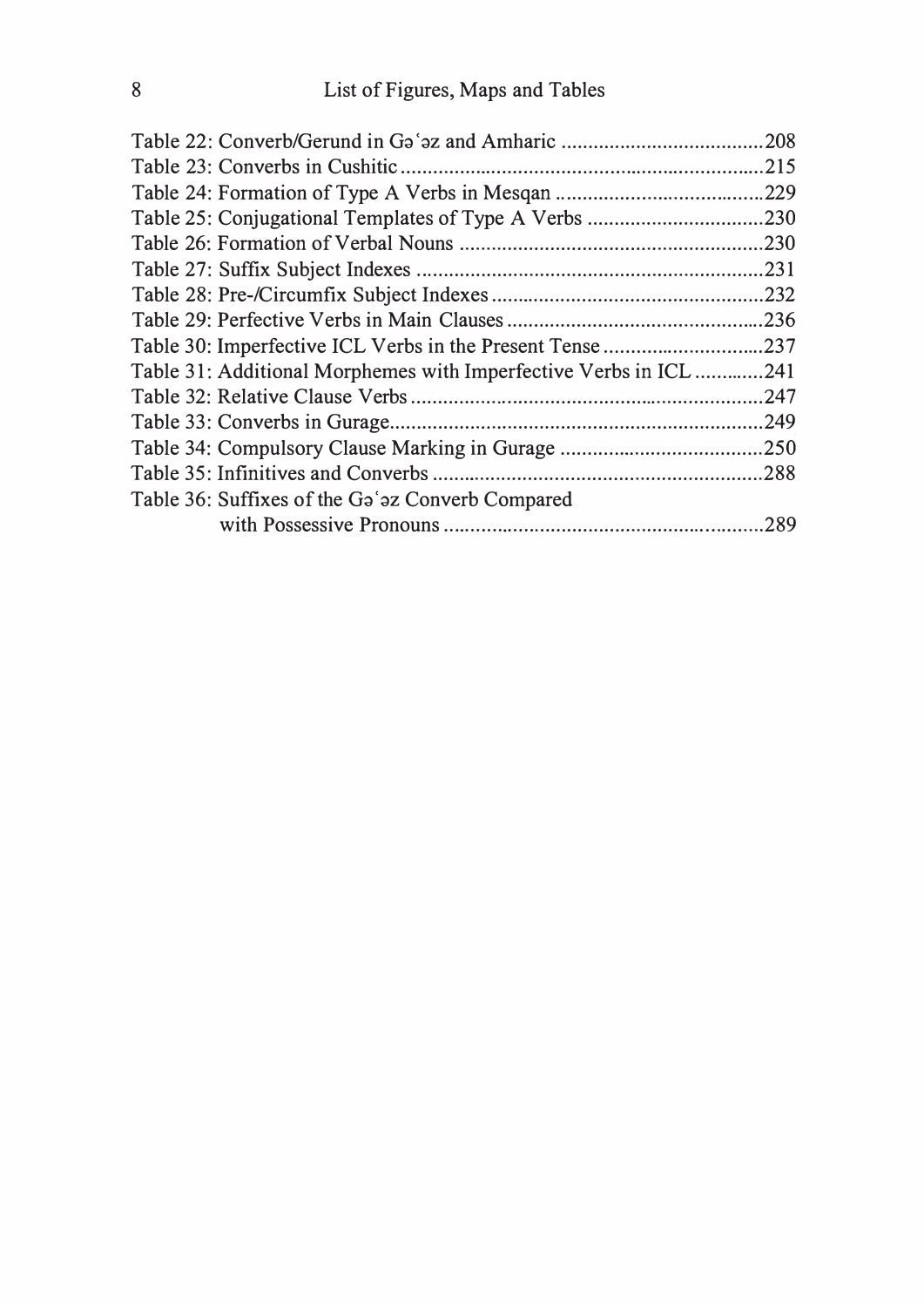|                                                                   | .208 |
|-------------------------------------------------------------------|------|
|                                                                   | .215 |
|                                                                   | .229 |
|                                                                   | .230 |
|                                                                   | .230 |
|                                                                   |      |
|                                                                   | .232 |
|                                                                   |      |
| Table 30: Imperfective ICL Verbs in the Present Tense 237         |      |
| Table 31: Additional Morphemes with Imperfective Verbs in ICL 241 |      |
|                                                                   | .247 |
|                                                                   |      |
|                                                                   |      |
|                                                                   | .288 |
| Table 36: Suffixes of the Ga'az Converb Compared                  |      |
|                                                                   | .289 |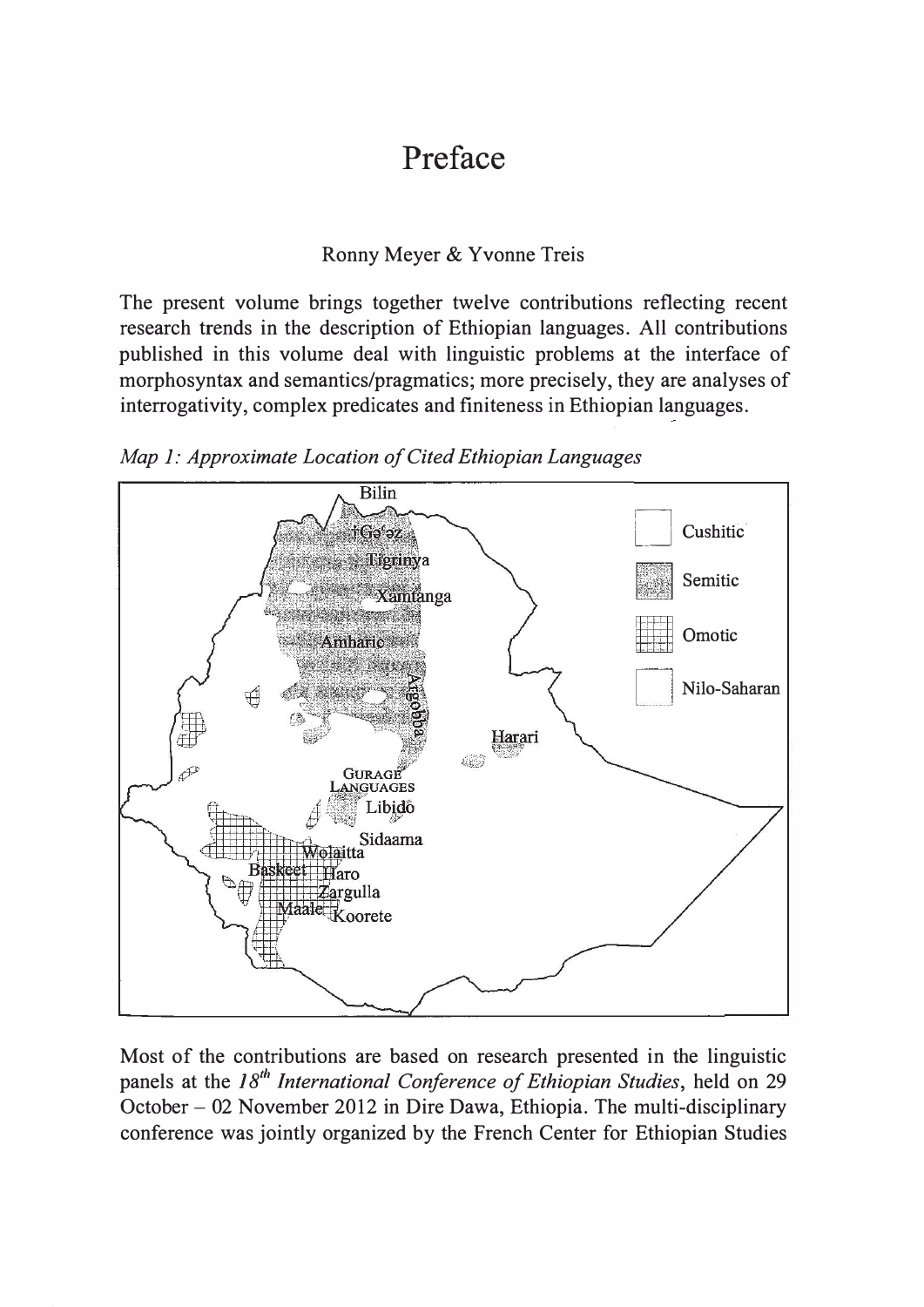#### Ronny Meyer & Yvonne Treis

The present volume brings together twelve contributions reflecting recent research trends in the description of Ethiopian languages. All contributions published in this volume deal with linguistic problems at the interface of morphosyntax and semantics/pragmatics; more precisely, they are analyses of interrogativity, complex predicates and finiteness in Ethiopian languages.



Map 1: Approximate Location of Cited Ethiopian Languages

Most of the contributions are based on research presented in the linguistic panels at the  $18<sup>th</sup>$  International Conference of Ethiopian Studies, held on 29 October - 02 November 2012 in Dire Dawa, Ethiopia. The multi-disciplinary conference was jointly organized by the French Center for Ethiopian Studies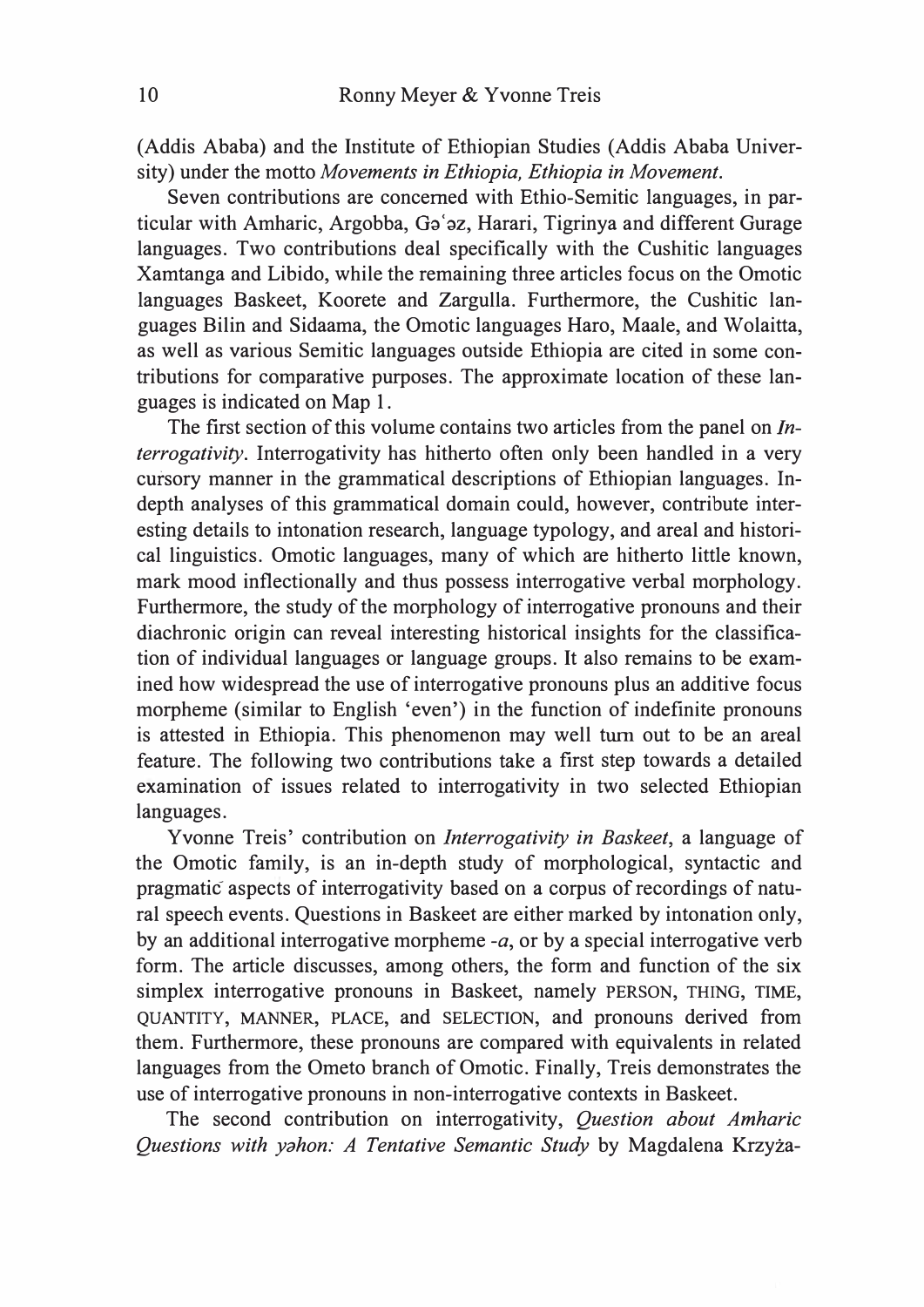(Addis Ababa) and the Institute of Ethiopian Studies (Addis Ababa University) under the motto Movements in Ethiopia, Ethiopia in Movement.

Seven contributions are concerned with Ethio-Semitic languages, in particular with Amharic, Argobba, Ga'az, Harari, Tigrinya and different Gurage languages. Two contributions deal specifically with the Cushitic languages Xamtanga and Libido, while the remaining three articles focus on the Omotic languages Baskeet, Koorete and Zargulla. Furthermore, the Cushitic languages Bilin and Sidaama, the Omotic languages Haro, Maale, and Wolaitta, as well as various Semitic languages outside Ethiopia are cited in some contributions for comparative purposes. The approximate location of these languages is indicated on Map 1.

The first section of this volume contains two articles from the panel on Interrogativity. Interrogativity has hitherto often only been handled in a very cursory manner in the grammatical descriptions of Ethiopian languages. Indepth analyses of this grammatical domain could, however, contribute interesting details to intonation research, language typology, and areal and historical linguistics. Omotic languages, many of which are hitherto little known, mark mood inflectionally and thus possess interrogative verbal morphology. Furthermore, the study of the morphology of interrogative pronouns and their diachronic origin can reveal interesting historical insights for the classification of individual languages or language groups. It also remains to be examined how widespread the use of interrogative pronouns plus an additive focus morpheme (similar to English 'even') in the function of indefinite pronouns is attested in Ethiopia. This phenomenon may well turn out to be an areal feature. The following two contributions take a first step towards a detailed examination of issues related to interrogativity in two selected Ethiopian languages.

Yvonne Treis' contribution on Interrogativity in Baskeet, a language of the Omotic family, is an in-depth study of morphological, syntactic and pragmatic aspects of interrogativity based on a corpus of recordings of natural speech events. Questions in Baskeet are either marked by intonation only, by an additional interrogative morpheme  $-a$ , or by a special interrogative verb form. The article discusses, among others, the form and function of the six simplex interrogative pronouns in Baskeet, namely PERSON, THING, TIME, QUANTITY, MANNER, PLACE, and SELECTION, and pronouns derived from them. Furthermore, these pronouns are compared with equivalents in related languages from the Ometo branch of Omotic. Finally, Treis demonstrates the use of interrogative pronouns in non-interrogative contexts in Baskeet.

The second contribution on interrogativity, Question about Amharic Questions with yahon: A Tentative Semantic Study by Magdalena Krzyza-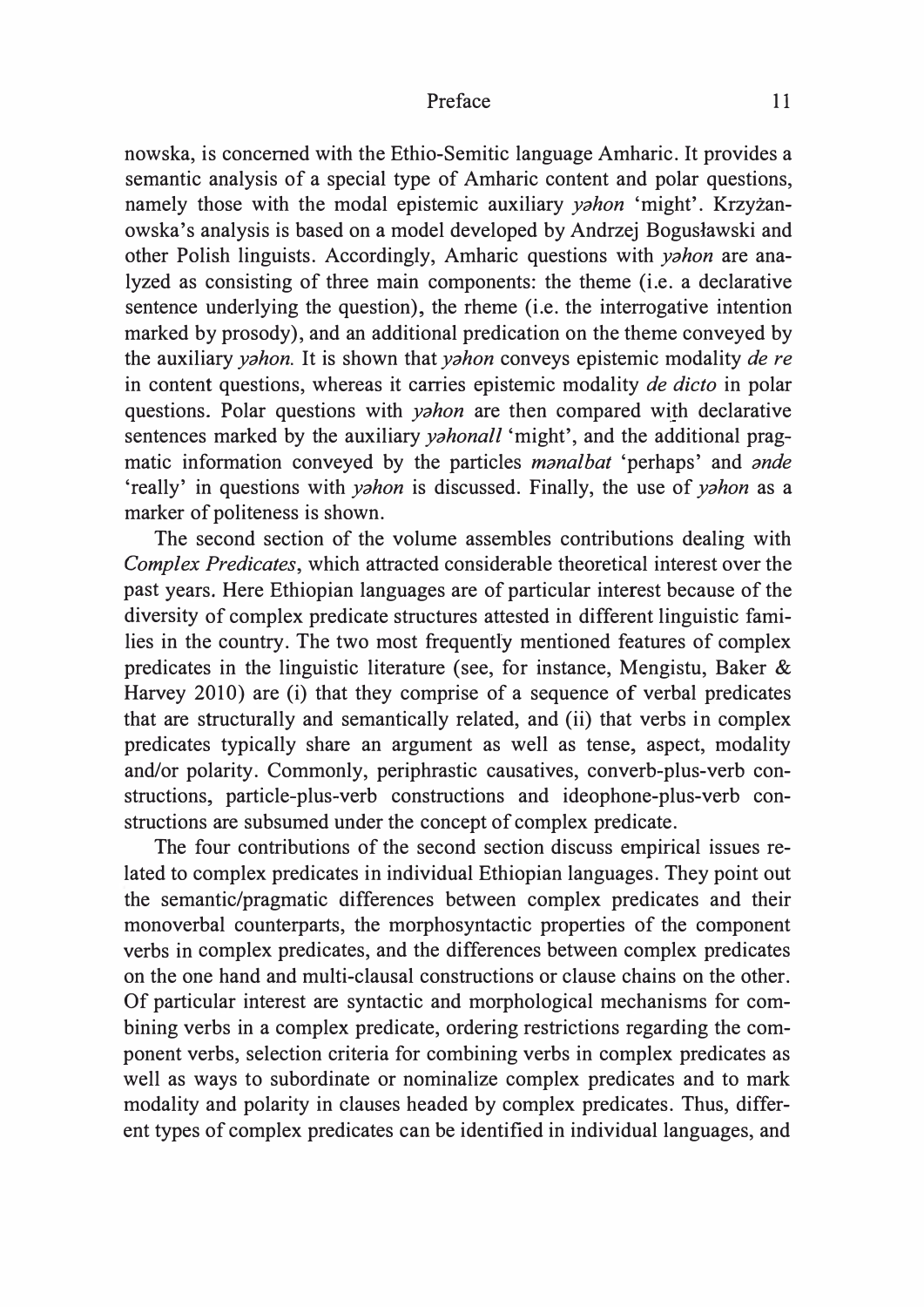nowska, is concerned with the Ethio-Semitic language Amharic. It provides a semantic analysis of a special type of Amharic content and polar questions, namely those with the modal epistemic auxiliary yahon 'might'. Krzyzanowska's analysis is based on a model developed by Andrzej Boguslawski and other Polish linguists. Accordingly, Amharic questions with yahon are analyzed as consisting of three main components: the theme (i.e. a declarative sentence underlying the question), the rheme (i.e. the interrogative intention marked by prosody), and an additional predication on the theme conveyed by the auxiliary *yahon*. It is shown that *yahon* conveys epistemic modality *de re* in content questions, whereas it carries epistemic modality de dicto in polar questions. Polar questions with *yahon* are then compared with declarative sentences marked by the auxiliary *yahonall* 'might', and the additional pragmatic information conveyed by the particles *manalbat* 'perhaps' and *ande* 'really' in questions with *yahon* is discussed. Finally, the use of *yahon* as a marker of politeness is shown.

The second section of the volume assembles contributions dealing with Complex Predicates, which attracted considerable theoretical interest over the past years. Here Ethiopian languages are of particular interest because of the diversity of complex predicate structures attested in different linguistic families in the country. The two most frequently mentioned features of complex predicates in the linguistic literature (see, for instance, Mengistu, Baker & Harvey 2010) are (i) that they comprise of a sequence of verbal predicates that are structurally and semantically related, and (ii) that verbs in complex predicates typically share an argument as well as tense, aspect, modality and/or polarity. Commonly, periphrastic causatives, converb-plus-verb constructions, particle-plus-verb constructions and ideophone-plus-verb constructions are subsumed under the concept of complex predicate.

The four contributions of the second section discuss empirical issues related to complex predicates in individual Ethiopian languages. They point out the semantic/pragmatic differences between complex predicates and their monoverbal counterparts, the morphosyntactic properties of the component verbs in complex predicates, and the differences between complex predicates on the one hand and multi-clausal constructions or clause chains on the other. Of particular interest are syntactic and morphological mechanisms for combining verbs in a complex predicate, ordering restrictions regarding the component verbs, selection criteria for combining verbs in complex predicates as well as ways to subordinate or nominalize complex predicates and to mark modality and polarity in clauses headed by complex predicates. Thus, different types of complex predicates can be identified in individual languages, and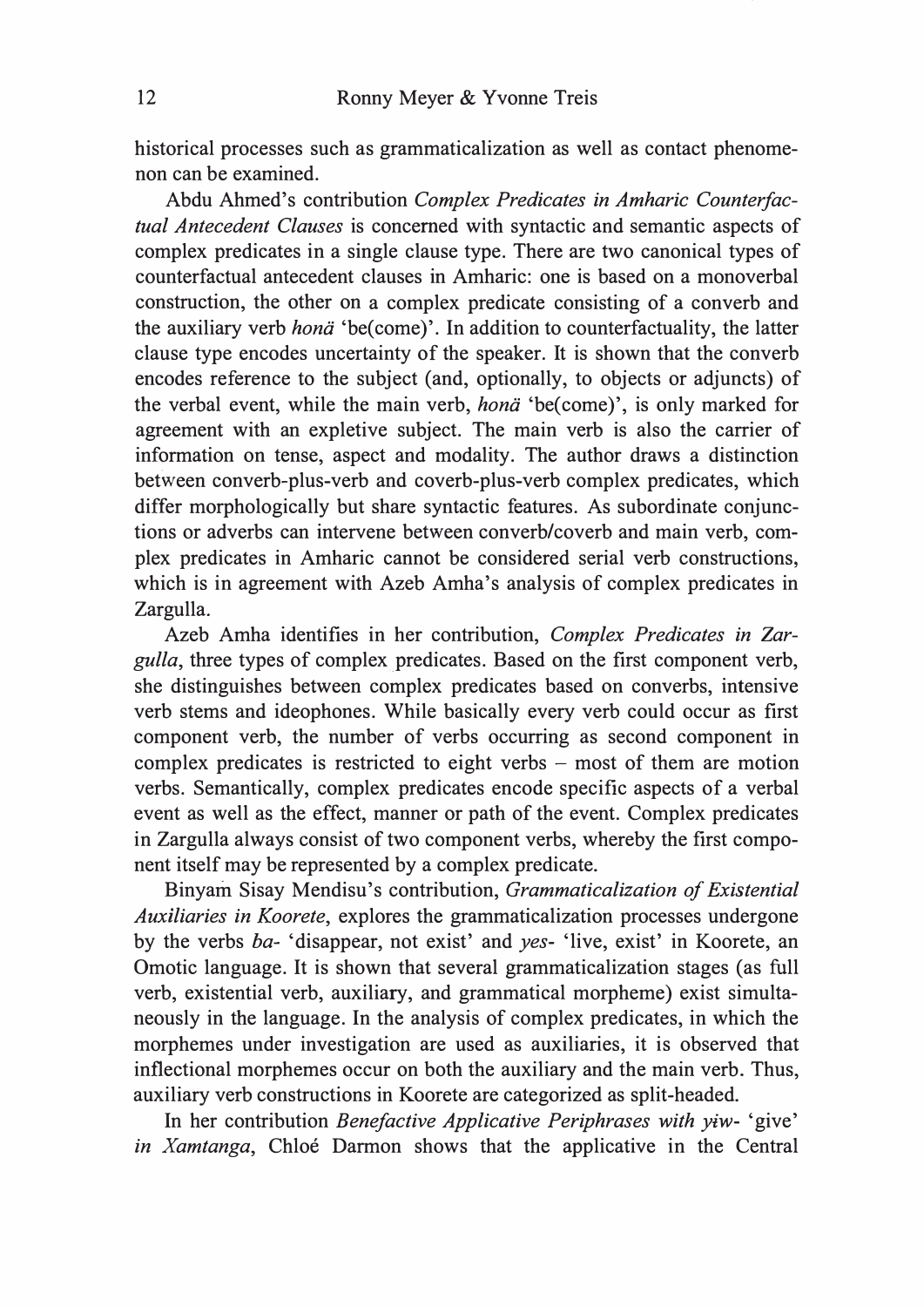historical processes such as grammaticalization as well as contact phenomenon can be examined.

Abdu Ahmed's contribution Complex Predicates in Amharic Counterfactual Antecedent Clauses is concerned with syntactic and semantic aspects of complex predicates in a single clause type. There are two canonical types of counterfactual antecedent clauses in Amharic: one is based on a monoverbal construction, the other on a complex predicate consisting of a converb and the auxiliary verb hona 'be(come)'. In addition to counterfactuality, the latter clause type encodes uncertainty of the speaker. It is shown that the converb encodes reference to the subject (and, optionally, to objects or adjuncts) of the verbal event, while the main verb, *hona* 'be(come)', is only marked for agreement with an expletive subject. The main verb is also the carrier of information on tense, aspect and modality. The author draws a distinction betWeen converb-plus-verb and coverb-plus-verb complex predicates, which differ morphologically but share syntactic features. As subordinate conjunctions or adverbs can intervene between converb/coverb and main verb, complex predicates in Amharic cannot be considered serial verb constructions, which is in agreement with Azeb Amha's analysis of complex predicates in Zargulla.

Azeb Amha identifies in her contribution, Complex Predicates in Zargulla, three types of complex predicates. Based on the first component verb, she distinguishes between complex predicates based on converbs, intensive verb stems and ideophones. While basically every verb could occur as first component verb, the number of verbs occurring as second component in complex predicates is restricted to eight verbs  $-$  most of them are motion verbs. Semantically, complex predicates encode specific aspects of a verbal event as well as the effect, manner or path of the event. Complex predicates in Zargulla always consist of two component verbs, whereby the first component itself may be represented by a complex predicate.

Binyam Sisay Mendisu's contribution, Grammaticalization of Existential Auxiliaries in Koorete, explores the grammaticalization processes undergone by the verbs ba- 'disappear, not exist' and yes- 'live, exist' in Koorete, an Omotic language. It is shown that several grammaticalization stages (as full verb, existential verb, auxiliary, and grammatical morpheme) exist simultaneously in the language. In the analysis of complex predicates, in which the morphemes under investigation are used as auxiliaries, it is observed that inflectional morphemes occur on both the auxiliary and the main verb. Thus, auxiliary verb constructions in Koorete are categorized as split-headed.

In her contribution Benefactive Applicative Periphrases with yiw- 'give' in Xamtanga, Chloé Darmon shows that the applicative in the Central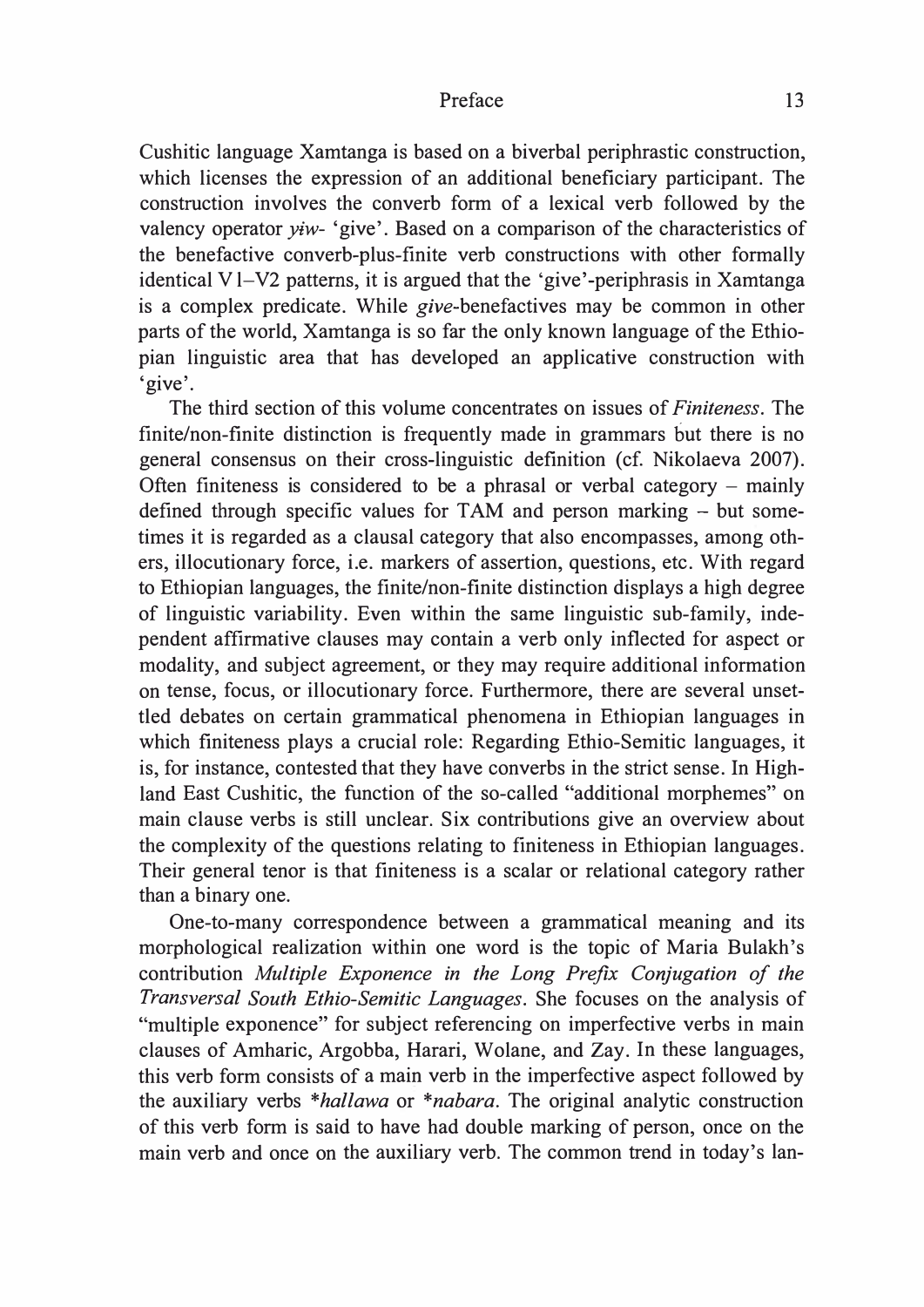Cushitic language Xamtanga is based on a biverbal periphrastic construction, which licenses the expression of an additional beneficiary participant. The construction involves the converb form of a lexical verb followed by the valency operator  $\psi$ iw- 'give'. Based on a comparison of the characteristics of the benefactive converb-plus-finite verb constructions with other formally identical V l-V2 patterns, it is argued that the 'give'-periphrasis in Xamtanga is a complex predicate. While give-benefactives may be common in other parts of the world, Xamtanga is so far the only known language of the Ethiopian linguistic area that has developed an applicative construction with 'give'.

The third section of this volume concentrates on issues of Finiteness. The finite/non-finite distinction is frequently made in grammars but there is no general consensus on their cross-linguistic definition (cf. Nikolaeva 2007). Often finiteness is considered to be a phrasal or verbal category – mainly defined through specific values for TAM and person marking – but sometimes it is regarded as a clausal category that also encompasses, among others, illocutionary force, i.e. markers of assertion, questions, etc. With regard to Ethiopian languages, the finite/non-finite distinction displays a high degree of linguistic variability. Even within the same linguistic sub-family, independent affirmative clauses may contain a verb only inflected for aspect or modality, and subject agreement, or they may require additional information on tense, focus, or illocutionary force. Furthermore, there are several unsettled debates on certain grammatical phenomena in Ethiopian languages in which finiteness plays a crucial role: Regarding Ethio-Semitic languages, it is, for instance, contested that they have converbs in the strict sense. In Highland East Cushitic, the function of the so-called "additional morphemes" on main clause verbs is still unclear. Six contributions give an overview about the complexity of the questions relating to finiteness in Ethiopian languages. Their general tenor is that finiteness is a scalar or relational category rather than a binary one.

One-to-many correspondence between a grammatical meaning and its morphological realization within one word is the topic of Maria Bulakh's contribution Multiple Exponence in the Long Prefix Conjugation of the Transversal South Ethio-Semitic Languages. She focuses on the analysis of "multiple exponence" for subject referencing on imperfective verbs in main clauses of Amharic, Argobba, Harari, Wolane, and Zay. In these languages, this verb form consists of a main verb in the imperfective aspect followed by the auxiliary verbs \*hallawa or \*nabara. The original analytic construction of this verb form is said to have had double marking of person, once on the main verb and once on the auxiliary verb. The common trend in today's Ian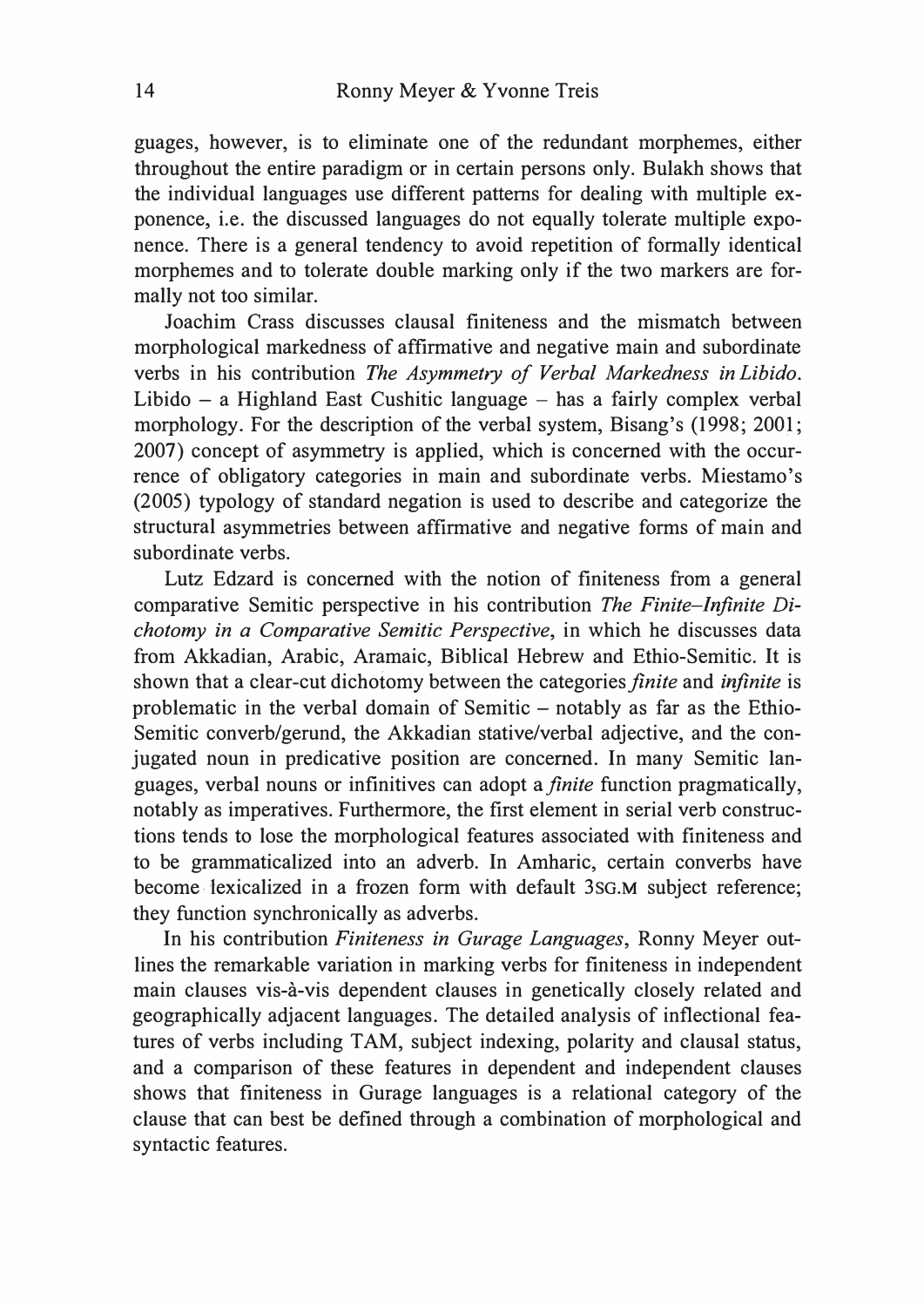guages, however, is to eliminate one of the redundant morphemes, either throughout the entire paradigm or in certain persons only. Bulakh shows that the individual languages use different patterns for dealing with multiple exponence, i.e. the discussed languages do not equally tolerate multiple exponence. There is a general tendency to avoid repetition of formally identical morphemes and to tolerate double marking only if the two markers are formally not too similar.

Joachim Crass discusses clausal finiteness and the mismatch between morphological markedness of affirmative and negative main and subordinate verbs in his contribution The Asymmetry of Verbal Markedness in Libido. Libido  $-$  a Highland East Cushitic language  $-$  has a fairly complex verbal morphology. For the description of the verbal system, Bisang's (1998; 2001; 2007) concept of asymmetry is applied, which is concerned with the occurrence of obligatory categories in main and subordinate verbs. Miestamo's (2005) typology of standard negation is used to describe and categorize the structural asymmetries between affirmative and negative forms of main and subordinate verbs.

Lutz Edzard is concerned with the notion of finiteness from a general comparative Semitic perspective in his contribution The Finite-Infinite Dichotomy in a Comparative Semitie Perspective, in which he discusses data from Akkadian, Arabic, Aramaic, Biblical Hebrew and Ethio-Semitic. It is shown that a clear-cut dichotomy between the categories finite and infinite is problematic in the verbal domain of Semitic - notably as far as the Ethio-Semitic converb/gerund, the Akkadian stative/verbal adjective, and the conjugated noun in predicative position are concerned. In many Semitic languages, verbal nouns or infinitives can adopt a *finite* function pragmatically, notably as imperatives. Furthermore, the first element in serial verb constructions tends to lose the morphological features associated with finiteness and to be grammaticalized into an adverb. In Amharic, certain converbs have become lexicalized in a frozen form with default 3SG.M subject reference; they function synchronically as adverbs.

In his contribution Finiteness in Gurage Languages, Ronny Meyer outlines the remarkable variation in marking verbs for finiteness in independent main clauses vis-a-vis dependent clauses in genetically closely related and geographically adjacent languages. The detailed analysis of inflectional features of verbs including TAM, subject indexing, polarity and clausal status, and a comparison of these features in dependent and independent clauses shows that finiteness in Gurage languages is a relational category of the clause that can best be defined through a combination of morphological and syntactic features.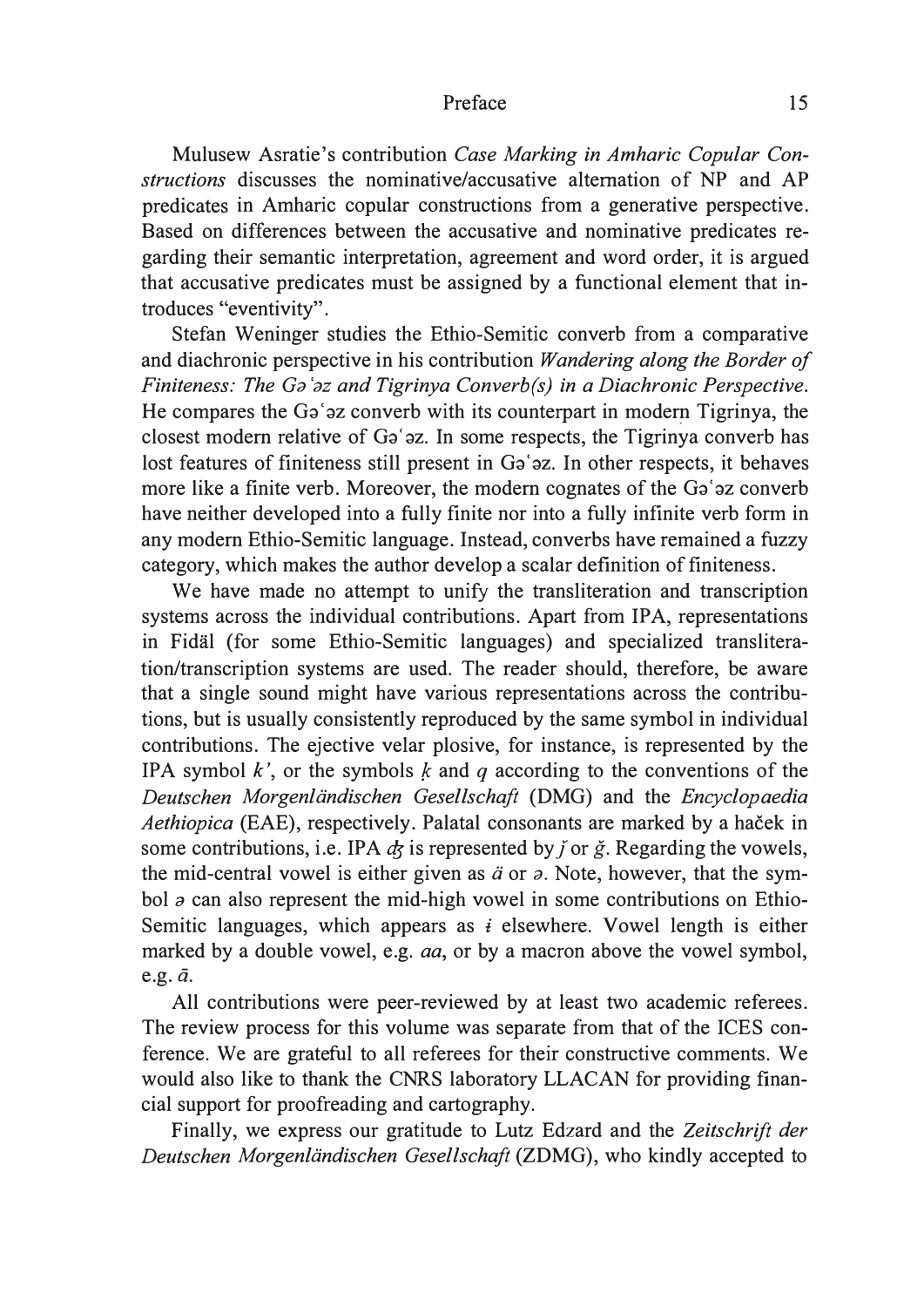Mulusew Asratie's contribution Case Marking in Amharic Copular Constructions discusses the nominative/accusative alternation of NP and AP predicates in Amharic copular constructions from a generative perspective. Based on differences between the accusative and nominative predicates regarding their semantic interpretation, agreement and word order, it is argued that accusative predicates must be assigned by a functional element that introduces "eventivity".

Stefan Weninger studies the Ethio-Semitic converb from a comparative and diachronic perspective in his contribution Wandering along the Border of Finiteness: The Ga`az and Tigrinya Converb(s) in a Diachronic Perspective. He compares the Ga' az converb with its counterpart in modern Tigrinya, the closest modern relative of Ga'az. In some respects, the Tigrinya converb has lost features of finiteness still present in Ga'az. In other respects, it behaves more like a finite verb. Moreover, the modern cognates of the Ga'az converb have neither developed into a fully finite nor into a fully infinite verb form in any modem Ethio-Semitic language. Instead, converbs have remained a fuzzy category, which makes the author develop a scalar definition of finiteness.

We have made no attempt to unify the transliteration and transcription systems across the individual contributions. Apart from IPA, representations in Fidal (for some Ethio-Semitic languages) and specialized transliteration/transcription systems are used. The reader should, therefore, be aware that a single sound might have various representations across the contributions, but is usually consistently reproduced by the same symbol in individual contributions. The ejective velar plosive, for instance, is represented by the IPA symbol k', or the symbols k and q according to the conventions of the Deutschen Morgenländischen Gesellschaft (DMG) and the Encyclopaedia Aethiopica (EAE), respectively. Palatal consonants are marked by a haček in some contributions, i.e. IPA  $\dot{\phi}$  is represented by  $\dot{\gamma}$  or  $\dot{g}$ . Regarding the vowels, the mid-central vowel is either given as  $\ddot{a}$  or  $\dot{a}$ . Note, however, that the symbol  $\sigma$  can also represent the mid-high vowel in some contributions on Ethio-Semitic languages, which appears as  $\vec{i}$  elsewhere. Vowel length is either marked by a double vowel, e.g. *aa*, or by a macron above the vowel symbol, e.g.  $\bar{a}$ .

All contributions were peer-reviewed by at least two academic referees. The review process for this volume was separate from that of the ICES conference. We are grateful to all referees for their constructive comments. We would also like to thank the CNRS laboratory LLACAN for providing financial support for proofreading and cartography.

Finally, we express our gratitude to Lutz Edzard and the Zeitschrift der Deutschen Morgenländischen Gesellschaft (ZDMG), who kindly accepted to